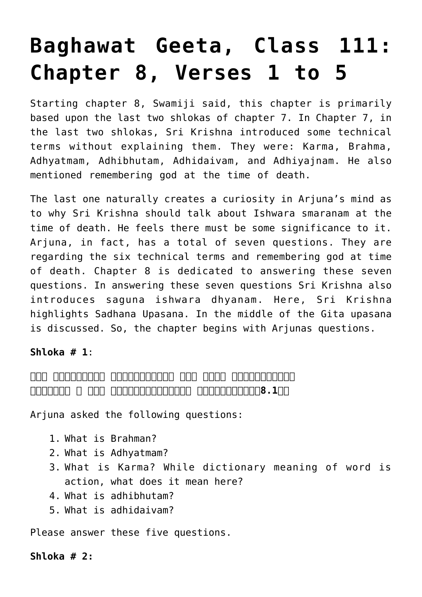# **[Baghawat Geeta, Class 111:](http://www.advaidam.com/2018/04/13/baghawat-geeta-class-101-chapter-8-verses-1-to-5/) [Chapter 8, Verses 1 to 5](http://www.advaidam.com/2018/04/13/baghawat-geeta-class-101-chapter-8-verses-1-to-5/)**

Starting chapter 8, Swamiji said, this chapter is primarily based upon the last two shlokas of chapter 7. In Chapter 7, in the last two shlokas, Sri Krishna introduced some technical terms without explaining them. They were: Karma, Brahma, Adhyatmam, Adhibhutam, Adhidaivam, and Adhiyajnam. He also mentioned remembering god at the time of death.

The last one naturally creates a curiosity in Arjuna's mind as to why Sri Krishna should talk about Ishwara smaranam at the time of death. He feels there must be some significance to it. Arjuna, in fact, has a total of seven questions. They are regarding the six technical terms and remembering god at time of death. Chapter 8 is dedicated to answering these seven questions. In answering these seven questions Sri Krishna also introduces saguna ishwara dhyanam. Here, Sri Krishna highlights Sadhana Upasana. In the middle of the Gita upasana is discussed. So, the chapter begins with Arjunas questions.

## **Shloka # 1**:

## **िकं तद्ब्रह्म िकमध्यात्मं िकं कर्म पुरुषोत्तम। अिधभूतं च िकं प्रोक्तमिधदैवं िकमुच्यते।।8.1।।**

Arjuna asked the following questions:

- 1. What is Brahman?
- 2. What is Adhyatmam?
- 3. What is Karma? While dictionary meaning of word is action, what does it mean here?
- 4. What is adhibhutam?
- 5. What is adhidaivam?

Please answer these five questions.

## **Shloka # 2:**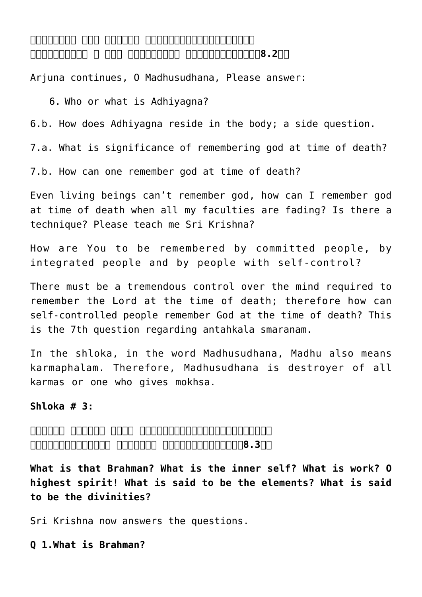# **अिधयज्ञः कथं कोऽत्र देहेऽस्िमन्मधुसूदन। प्रयाणकाले च कथं ज्ञेयोऽिस िनयतात्मिभः।।8.2।।**

Arjuna continues, O Madhusudhana, Please answer:

6. Who or what is Adhiyagna?

6.b. How does Adhiyagna reside in the body; a side question.

7.a. What is significance of remembering god at time of death?

7.b. How can one remember god at time of death?

Even living beings can't remember god, how can I remember god at time of death when all my faculties are fading? Is there a technique? Please teach me Sri Krishna?

How are You to be remembered by committed people, by integrated people and by people with self-control?

There must be a tremendous control over the mind required to remember the Lord at the time of death; therefore how can self-controlled people remember God at the time of death? This is the 7th question regarding antahkala smaranam.

In the shloka, in the word Madhusudhana, Madhu also means karmaphalam. Therefore, Madhusudhana is destroyer of all karmas or one who gives mokhsa.

#### **Shloka # 3:**

**अक्षरं ब्रह्म परमं स्वभावोऽध्यात्ममुच्यते। भूतभावोद्भवकरो िवसर्गः कर्मसंज्िञतः।।8.3।।**

**What is that Brahman? What is the inner self? What is work? O highest spirit! What is said to be the elements? What is said to be the divinities?**

Sri Krishna now answers the questions.

**Q 1.What is Brahman?**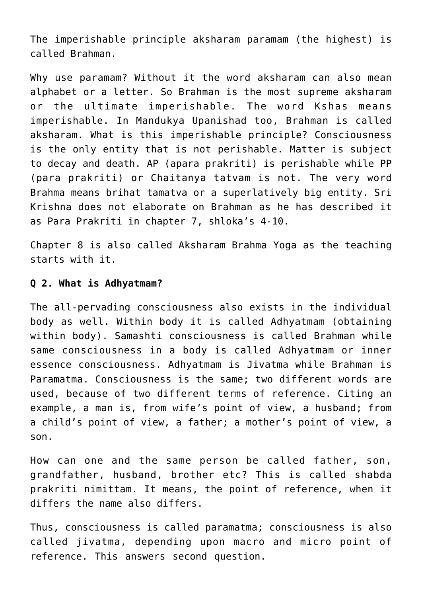The imperishable principle aksharam paramam (the highest) is called Brahman.

Why use paramam? Without it the word aksharam can also mean alphabet or a letter. So Brahman is the most supreme aksharam or the ultimate imperishable. The word Kshas means imperishable. In Mandukya Upanishad too, Brahman is called aksharam. What is this imperishable principle? Consciousness is the only entity that is not perishable. Matter is subject to decay and death. AP (apara prakriti) is perishable while PP (para prakriti) or Chaitanya tatvam is not. The very word Brahma means brihat tamatva or a superlatively big entity. Sri Krishna does not elaborate on Brahman as he has described it as Para Prakriti in chapter 7, shloka's 4-10.

Chapter 8 is also called Aksharam Brahma Yoga as the teaching starts with it.

#### **Q 2. What is Adhyatmam?**

The all-pervading consciousness also exists in the individual body as well. Within body it is called Adhyatmam (obtaining within body). Samashti consciousness is called Brahman while same consciousness in a body is called Adhyatmam or inner essence consciousness. Adhyatmam is Jivatma while Brahman is Paramatma. Consciousness is the same; two different words are used, because of two different terms of reference. Citing an example, a man is, from wife's point of view, a husband; from a child's point of view, a father; a mother's point of view, a son.

How can one and the same person be called father, son, grandfather, husband, brother etc? This is called shabda prakriti nimittam. It means, the point of reference, when it differs the name also differs.

Thus, consciousness is called paramatma; consciousness is also called jivatma, depending upon macro and micro point of reference. This answers second question.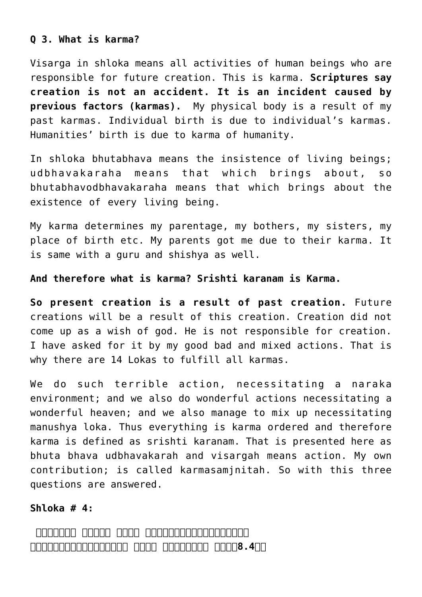## **Q 3. What is karma?**

Visarga in shloka means all activities of human beings who are responsible for future creation. This is karma. **Scriptures say creation is not an accident. It is an incident caused by previous factors (karmas).** My physical body is a result of my past karmas. Individual birth is due to individual's karmas. Humanities' birth is due to karma of humanity.

In shloka bhutabhava means the insistence of living beings; udbhavakaraha means that which brings about, so bhutabhavodbhavakaraha means that which brings about the existence of every living being.

My karma determines my parentage, my bothers, my sisters, my place of birth etc. My parents got me due to their karma. It is same with a guru and shishya as well.

**And therefore what is karma? Srishti karanam is Karma.**

**So present creation is a result of past creation.** Future creations will be a result of this creation. Creation did not come up as a wish of god. He is not responsible for creation. I have asked for it by my good bad and mixed actions. That is why there are 14 Lokas to fulfill all karmas.

We do such terrible action, necessitating a naraka environment; and we also do wonderful actions necessitating a wonderful heaven; and we also manage to mix up necessitating manushya loka. Thus everything is karma ordered and therefore karma is defined as srishti karanam. That is presented here as bhuta bhava udbhavakarah and visargah means action. My own contribution; is called karmasamjnitah. So with this three questions are answered.

## **Shloka # 4:**

**अिधभूतं क्षरो भावः पुरुषश्चािधदैवतम्। अिधयज्ञोऽहमेवात्र देहे देहभृतां वर।।8.4।।**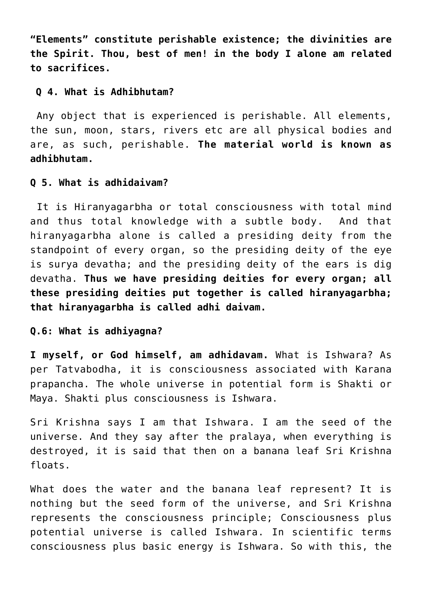**"Elements" constitute perishable existence; the divinities are the Spirit. Thou, best of men! in the body I alone am related to sacrifices.**

#### **Q 4. What is Adhibhutam?**

Any object that is experienced is perishable. All elements, the sun, moon, stars, rivers etc are all physical bodies and are, as such, perishable. **The material world is known as adhibhutam.**

#### **Q 5. What is adhidaivam?**

It is Hiranyagarbha or total consciousness with total mind and thus total knowledge with a subtle body. And that hiranyagarbha alone is called a presiding deity from the standpoint of every organ, so the presiding deity of the eye is surya devatha; and the presiding deity of the ears is dig devatha. **Thus we have presiding deities for every organ; all these presiding deities put together is called hiranyagarbha; that hiranyagarbha is called adhi daivam.**

### **Q.6: What is adhiyagna?**

**I myself, or God himself, am adhidavam.** What is Ishwara? As per Tatvabodha, it is consciousness associated with Karana prapancha. The whole universe in potential form is Shakti or Maya. Shakti plus consciousness is Ishwara.

Sri Krishna says I am that Ishwara. I am the seed of the universe. And they say after the pralaya, when everything is destroyed, it is said that then on a banana leaf Sri Krishna floats.

What does the water and the banana leaf represent? It is nothing but the seed form of the universe, and Sri Krishna represents the consciousness principle; Consciousness plus potential universe is called Ishwara. In scientific terms consciousness plus basic energy is Ishwara. So with this, the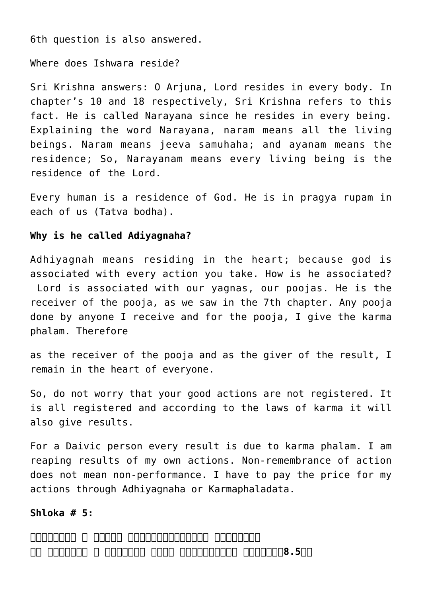6th question is also answered.

Where does Ishwara reside?

Sri Krishna answers: O Arjuna, Lord resides in every body. In chapter's 10 and 18 respectively, Sri Krishna refers to this fact. He is called Narayana since he resides in every being. Explaining the word Narayana, naram means all the living beings. Naram means jeeva samuhaha; and ayanam means the residence; So, Narayanam means every living being is the residence of the Lord.

Every human is a residence of God. He is in pragya rupam in each of us (Tatva bodha).

#### **Why is he called Adiyagnaha?**

Adhiyagnah means residing in the heart; because god is associated with every action you take. How is he associated? Lord is associated with our yagnas, our poojas. He is the receiver of the pooja, as we saw in the 7th chapter. Any pooja done by anyone I receive and for the pooja, I give the karma phalam. Therefore

as the receiver of the pooja and as the giver of the result, I remain in the heart of everyone.

So, do not worry that your good actions are not registered. It is all registered and according to the laws of karma it will also give results.

For a Daivic person every result is due to karma phalam. I am reaping results of my own actions. Non-remembrance of action does not mean non-performance. I have to pay the price for my actions through Adhiyagnaha or Karmaphaladata.

#### **Shloka # 5:**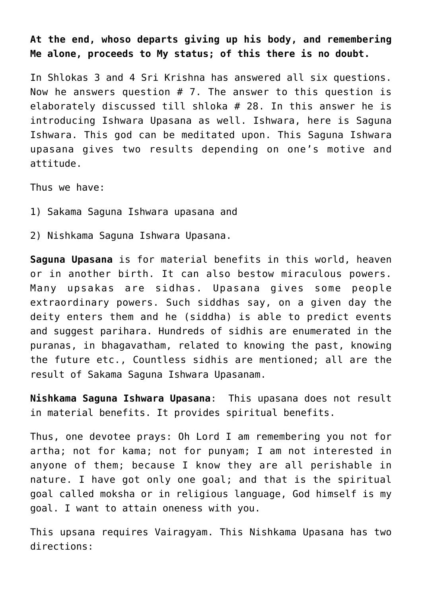**At the end, whoso departs giving up his body, and remembering Me alone, proceeds to My status; of this there is no doubt.**

In Shlokas 3 and 4 Sri Krishna has answered all six questions. Now he answers question  $# 7$ . The answer to this question is elaborately discussed till shloka # 28. In this answer he is introducing Ishwara Upasana as well. Ishwara, here is Saguna Ishwara. This god can be meditated upon. This Saguna Ishwara upasana gives two results depending on one's motive and attitude.

Thus we have:

- 1) Sakama Saguna Ishwara upasana and
- 2) Nishkama Saguna Ishwara Upasana.

**Saguna Upasana** is for material benefits in this world, heaven or in another birth. It can also bestow miraculous powers. Many upsakas are sidhas. Upasana gives some people extraordinary powers. Such siddhas say, on a given day the deity enters them and he (siddha) is able to predict events and suggest parihara. Hundreds of sidhis are enumerated in the puranas, in bhagavatham, related to knowing the past, knowing the future etc., Countless sidhis are mentioned; all are the result of Sakama Saguna Ishwara Upasanam.

**Nishkama Saguna Ishwara Upasana**: This upasana does not result in material benefits. It provides spiritual benefits.

Thus, one devotee prays: Oh Lord I am remembering you not for artha; not for kama; not for punyam; I am not interested in anyone of them; because I know they are all perishable in nature. I have got only one goal; and that is the spiritual goal called moksha or in religious language, God himself is my goal. I want to attain oneness with you.

This upsana requires Vairagyam. This Nishkama Upasana has two directions: